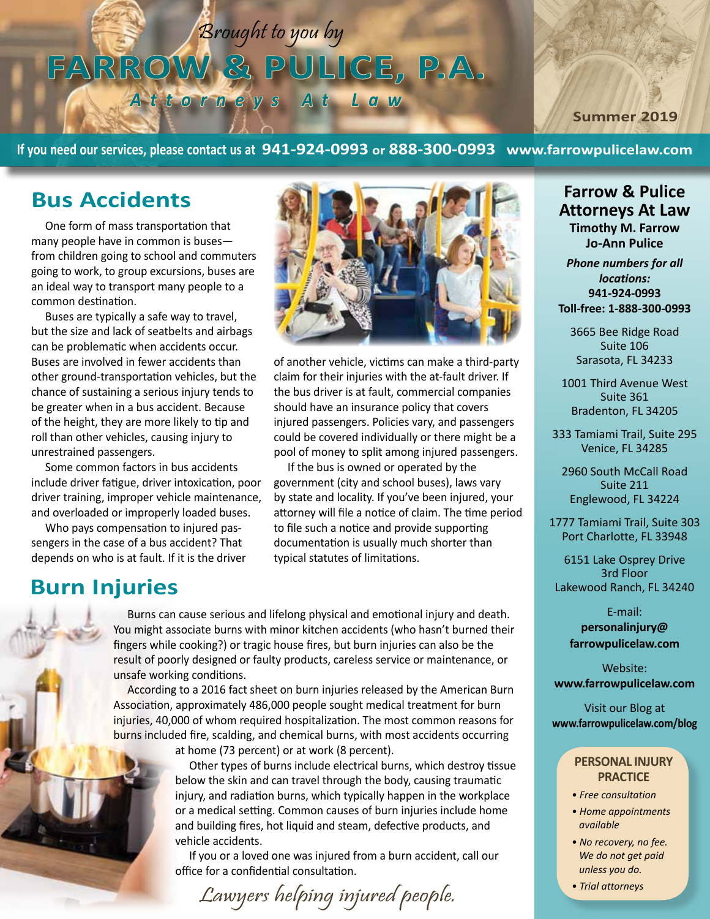Brought to you by **FARROW & PULICE, P.A.**

*Attorneys At Law*

**Summer 2019**

**If you need our services, please contact us at 941-924-0993 or 888-300-0993 www.farrowpulicelaw.com**

### **Bus Accidents**

One form of mass transportation that many people have in common is buses from children going to school and commuters going to work, to group excursions, buses are an ideal way to transport many people to a common destination.

Buses are typically a safe way to travel, but the size and lack of seatbelts and airbags can be problematic when accidents occur. Buses are involved in fewer accidents than other ground-transportation vehicles, but the chance of sustaining a serious injury tends to be greater when in a bus accident. Because of the height, they are more likely to tip and roll than other vehicles, causing injury to unrestrained passengers.

Some common factors in bus accidents include driver fatigue, driver intoxication, poor driver training, improper vehicle maintenance, and overloaded or improperly loaded buses.

Who pays compensation to injured passengers in the case of a bus accident? That depends on who is at fault. If it is the driver

### **Burn Injuries**



of another vehicle, victims can make a third-party claim for their injuries with the at-fault driver. If the bus driver is at fault, commercial companies should have an insurance policy that covers injured passengers. Policies vary, and passengers could be covered individually or there might be a pool of money to split among injured passengers.

If the bus is owned or operated by the government (city and school buses), laws vary by state and locality. If you've been injured, your attorney will file a notice of claim. The time period to file such a notice and provide supporting documentation is usually much shorter than typical statutes of limitations.

Burns can cause serious and lifelong physical and emotional injury and death. You might associate burns with minor kitchen accidents (who hasn't burned their fingers while cooking?) or tragic house fires, but burn injuries can also be the result of poorly designed or faulty products, careless service or maintenance, or unsafe working conditions.

According to a 2016 fact sheet on burn injuries released by the American Burn Association, approximately 486,000 people sought medical treatment for burn injuries, 40,000 of whom required hospitalization. The most common reasons for burns included fire, scalding, and chemical burns, with most accidents occurring

at home (73 percent) or at work (8 percent).

Other types of burns include electrical burns, which destroy tissue below the skin and can travel through the body, causing traumatic injury, and radiation burns, which typically happen in the workplace or a medical setting. Common causes of burn injuries include home and building fires, hot liquid and steam, defective products, and vehicle accidents.

If you or a loved one was injured from a burn accident, call our office for a confidential consultation.

*• Trial attorneys* Lawyers helping injured people.

### **Farrow & Pulice Attorneys At Law Timothy M. Farrow Jo-Ann Pulice**

*Phone numbers for all locations:* **941-924-0993 Toll-free: 1-888-300-0993**

3665 Bee Ridge Road Suite 106 Sarasota, FL 34233

1001 Third Avenue West Suite 361 Bradenton, FL 34205

333 Tamiami Trail, Suite 295 Venice, FL 34285

2960 South McCall Road Suite 211 Englewood, FL 34224

1777 Tamiami Trail, Suite 303 Port Charlotte, FL 33948

6151 Lake Osprey Drive 3rd Floor Lakewood Ranch, FL 34240

> E-mail: **personalinjury@ farrowpulicelaw.com**

Website: **www.farrowpulicelaw.com**

Visit our Blog at **www.farrowpulicelaw.com/blog**

#### **PERSONAL INJURY PRACTICE**

- *Free consultation*
- *Home appointments available*
- *No recovery, no fee. We do not get paid unless you do.*
-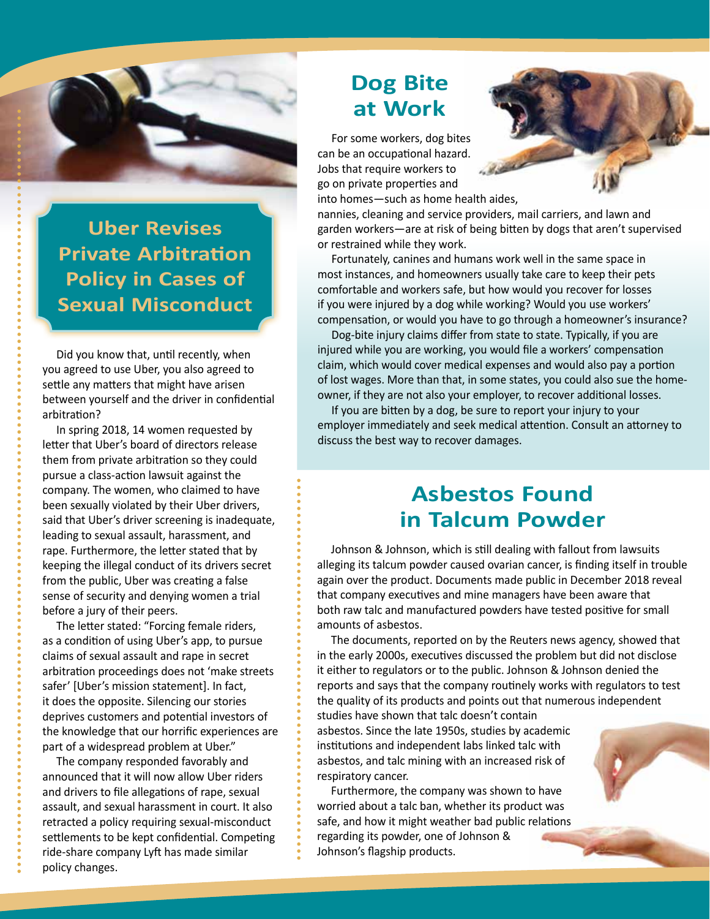

**Uber Revises Private Arbitration Policy in Cases of Sexual Misconduct**

Did you know that, until recently, when you agreed to use Uber, you also agreed to settle any matters that might have arisen between yourself and the driver in confidential arbitration?

In spring 2018, 14 women requested by letter that Uber's board of directors release them from private arbitration so they could pursue a class-action lawsuit against the company. The women, who claimed to have been sexually violated by their Uber drivers, said that Uber's driver screening is inadequate, leading to sexual assault, harassment, and rape. Furthermore, the letter stated that by keeping the illegal conduct of its drivers secret from the public, Uber was creating a false sense of security and denying women a trial before a jury of their peers.

The letter stated: "Forcing female riders, as a condition of using Uber's app, to pursue claims of sexual assault and rape in secret arbitration proceedings does not 'make streets safer' [Uber's mission statement]. In fact, it does the opposite. Silencing our stories deprives customers and potential investors of the knowledge that our horrific experiences are part of a widespread problem at Uber."

The company responded favorably and announced that it will now allow Uber riders and drivers to file allegations of rape, sexual assault, and sexual harassment in court. It also retracted a policy requiring sexual-misconduct settlements to be kept confidential. Competing ride-share company Lyft has made similar policy changes.

# **Dog Bite at Work**

For some workers, dog bites can be an occupational hazard. Jobs that require workers to go on private properties and into homes—such as home health aides,



nannies, cleaning and service providers, mail carriers, and lawn and garden workers—are at risk of being bitten by dogs that aren't supervised or restrained while they work.

Fortunately, canines and humans work well in the same space in most instances, and homeowners usually take care to keep their pets comfortable and workers safe, but how would you recover for losses if you were injured by a dog while working? Would you use workers' compensation, or would you have to go through a homeowner's insurance?

Dog-bite injury claims differ from state to state. Typically, if you are injured while you are working, you would file a workers' compensation claim, which would cover medical expenses and would also pay a portion of lost wages. More than that, in some states, you could also sue the homeowner, if they are not also your employer, to recover additional losses.

If you are bitten by a dog, be sure to report your injury to your employer immediately and seek medical attention. Consult an attorney to discuss the best way to recover damages.

## **Asbestos Found in Talcum Powder**

Johnson & Johnson, which is still dealing with fallout from lawsuits alleging its talcum powder caused ovarian cancer, is finding itself in trouble again over the product. Documents made public in December 2018 reveal that company executives and mine managers have been aware that both raw talc and manufactured powders have tested positive for small amounts of asbestos.

The documents, reported on by the Reuters news agency, showed that in the early 2000s, executives discussed the problem but did not disclose it either to regulators or to the public. Johnson & Johnson denied the reports and says that the company routinely works with regulators to test the quality of its products and points out that numerous independent studies have shown that talc doesn't contain

asbestos. Since the late 1950s, studies by academic institutions and independent labs linked talc with asbestos, and talc mining with an increased risk of respiratory cancer.

Furthermore, the company was shown to have worried about a talc ban, whether its product was safe, and how it might weather bad public relations regarding its powder, one of Johnson & Johnson's flagship products.

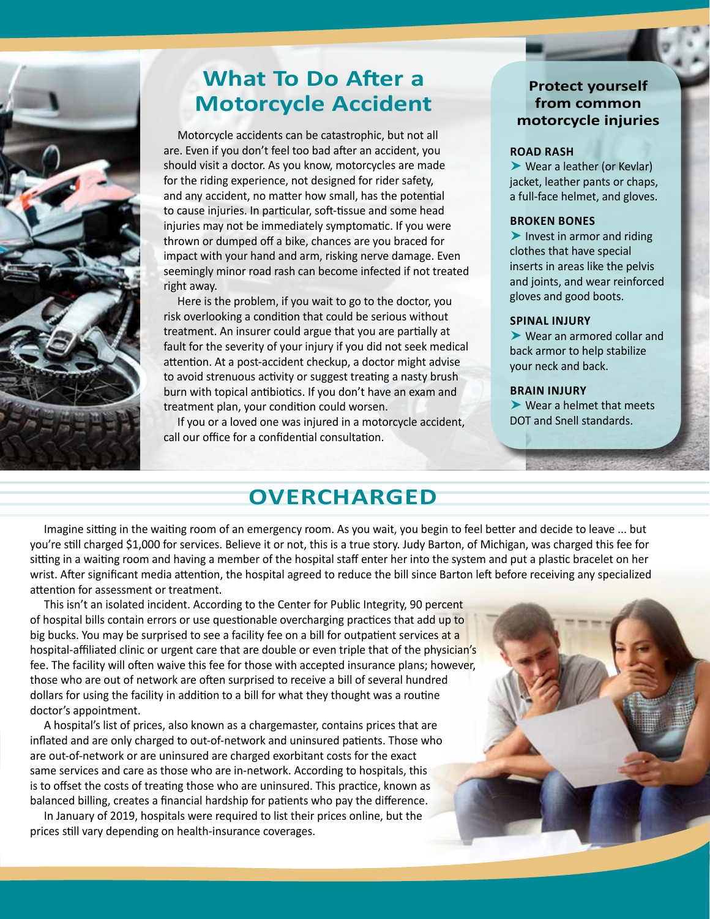

## **What To Do After a Motorcycle Accident**

Motorcycle accidents can be catastrophic, but not all are. Even if you don't feel too bad after an accident, you should visit a doctor. As you know, motorcycles are made for the riding experience, not designed for rider safety, and any accident, no matter how small, has the potential to cause injuries. In particular, soft-tissue and some head injuries may not be immediately symptomatic. If you were thrown or dumped off a bike, chances are you braced for impact with your hand and arm, risking nerve damage. Even seemingly minor road rash can become infected if not treated right away.

Here is the problem, if you wait to go to the doctor, you risk overlooking a condition that could be serious without treatment. An insurer could argue that you are partially at fault for the severity of your injury if you did not seek medical attention. At a post-accident checkup, a doctor might advise to avoid strenuous activity or suggest treating a nasty brush burn with topical antibiotics. If you don't have an exam and treatment plan, your condition could worsen.

If you or a loved one was injured in a motorcycle accident, call our office for a confidential consultation.

### **Protect yourself from common motorcycle injuries**

#### **ROAD RASH**

 Wear a leather (or Kevlar) jacket, leather pants or chaps, a full-face helmet, and gloves.

#### **BROKEN BONES**

 $\blacktriangleright$  Invest in armor and riding clothes that have special inserts in areas like the pelvis and joints, and wear reinforced gloves and good boots.

#### **SPINAL INJURY**

 Wear an armored collar and back armor to help stabilize your neck and back.

#### **BRAIN INJURY**

 Wear a helmet that meets DOT and Snell standards.

## **OVERCHARGED**

Imagine sitting in the waiting room of an emergency room. As you wait, you begin to feel better and decide to leave ... but you're still charged \$1,000 for services. Believe it or not, this is a true story. Judy Barton, of Michigan, was charged this fee for sitting in a waiting room and having a member of the hospital staff enter her into the system and put a plastic bracelet on her wrist. After significant media attention, the hospital agreed to reduce the bill since Barton left before receiving any specialized attention for assessment or treatment.

This isn't an isolated incident. According to the Center for Public Integrity, 90 percent of hospital bills contain errors or use questionable overcharging practices that add up to big bucks. You may be surprised to see a facility fee on a bill for outpatient services at a hospital-affiliated clinic or urgent care that are double or even triple that of the physician's fee. The facility will often waive this fee for those with accepted insurance plans; however, those who are out of network are often surprised to receive a bill of several hundred dollars for using the facility in addition to a bill for what they thought was a routine doctor's appointment.

A hospital's list of prices, also known as a chargemaster, contains prices that are inflated and are only charged to out-of-network and uninsured patients. Those who are out-of-network or are uninsured are charged exorbitant costs for the exact same services and care as those who are in-network. According to hospitals, this is to offset the costs of treating those who are uninsured. This practice, known as balanced billing, creates a financial hardship for patients who pay the difference.

In January of 2019, hospitals were required to list their prices online, but the prices still vary depending on health-insurance coverages.